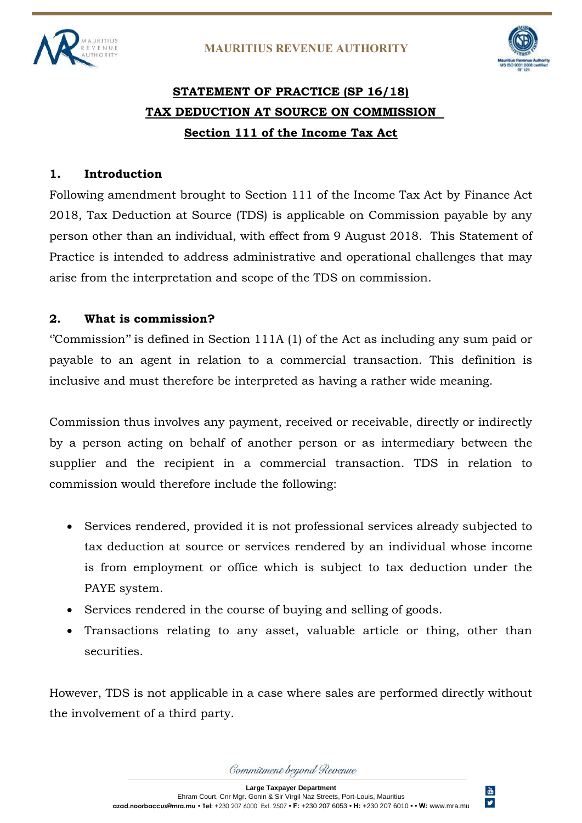



 $\overset{\text{Yor}}{\blacksquare\blacksquare}$  $\pmb{\mathsf{y}}$ 

# **STATEMENT OF PRACTICE (SP 16/18) TAX DEDUCTION AT SOURCE ON COMMISSION Section 111 of the Income Tax Act**

#### **1. Introduction**

Following amendment brought to Section 111 of the Income Tax Act by Finance Act 2018, Tax Deduction at Source (TDS) is applicable on Commission payable by any person other than an individual, with effect from 9 August 2018. This Statement of Practice is intended to address administrative and operational challenges that may arise from the interpretation and scope of the TDS on commission.

#### **2. What is commission?**

''Commission'' is defined in Section 111A (1) of the Act as including any sum paid or payable to an agent in relation to a commercial transaction. This definition is inclusive and must therefore be interpreted as having a rather wide meaning.

Commission thus involves any payment, received or receivable, directly or indirectly by a person acting on behalf of another person or as intermediary between the supplier and the recipient in a commercial transaction. TDS in relation to commission would therefore include the following:

- Services rendered, provided it is not professional services already subjected to tax deduction at source or services rendered by an individual whose income is from employment or office which is subject to tax deduction under the PAYE system.
- Services rendered in the course of buying and selling of goods.
- Transactions relating to any asset, valuable article or thing, other than securities.

However, TDS is not applicable in a case where sales are performed directly without the involvement of a third party.

Commitment beyond Revenue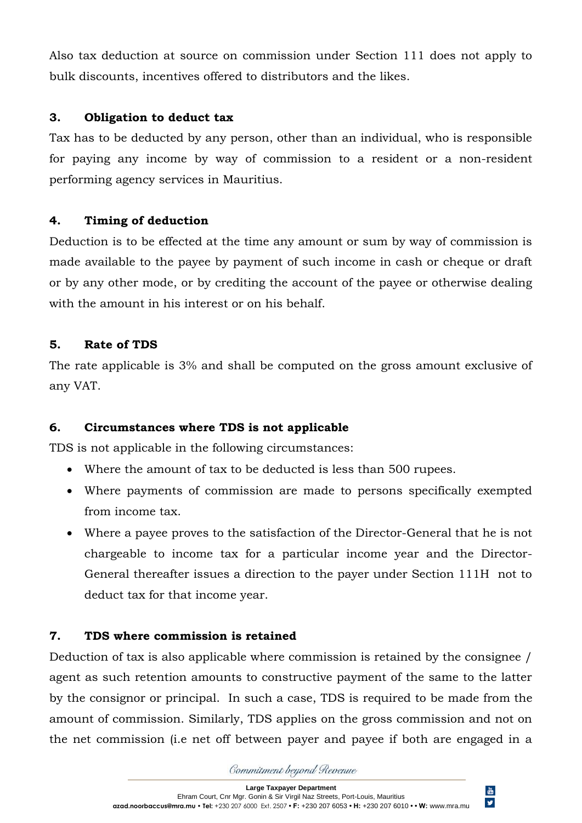Also tax deduction at source on commission under Section 111 does not apply to bulk discounts, incentives offered to distributors and the likes.

#### **3. Obligation to deduct tax**

Tax has to be deducted by any person, other than an individual, who is responsible for paying any income by way of commission to a resident or a non-resident performing agency services in Mauritius.

# **4. Timing of deduction**

Deduction is to be effected at the time any amount or sum by way of commission is made available to the payee by payment of such income in cash or cheque or draft or by any other mode, or by crediting the account of the payee or otherwise dealing with the amount in his interest or on his behalf.

# **5. Rate of TDS**

The rate applicable is 3% and shall be computed on the gross amount exclusive of any VAT.

# **6. Circumstances where TDS is not applicable**

TDS is not applicable in the following circumstances:

- Where the amount of tax to be deducted is less than 500 rupees.
- Where payments of commission are made to persons specifically exempted from income tax.
- Where a payee proves to the satisfaction of the Director-General that he is not chargeable to income tax for a particular income year and the Director-General thereafter issues a direction to the payer under Section 111H not to deduct tax for that income year.

# **7. TDS where commission is retained**

Deduction of tax is also applicable where commission is retained by the consignee / agent as such retention amounts to constructive payment of the same to the latter by the consignor or principal. In such a case, TDS is required to be made from the amount of commission. Similarly, TDS applies on the gross commission and not on the net commission (i.e net off between payer and payee if both are engaged in a